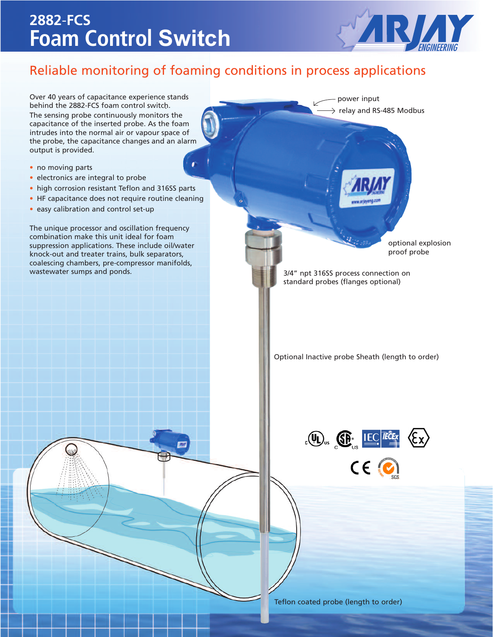## **2882**-**FCS Foam Control Switch**



### Reliable monitoring of foaming conditions in process applications

Over 40 years of capacitance experience stands behind the 2882-FCS foam control switch. . The sensing probe continuously monitors the capacitance of the inserted probe. As the foam intrudes into the normal air or vapour space of the probe, the capacitance changes and an alarm output is provided.

- no moving parts
- electronics are integral to probe
- high corrosion resistant Teflon and 316SS parts
- HF capacitance does not require routine cleaning
- easy calibration and control set-up

The unique processor and oscillation frequency combination make this unit ideal for foam suppression applications. These include oil/water knock-out and treater trains, bulk separators, coalescing chambers, pre-compressor manifolds, wastewater sumps and ponds.

optional explosion proof probe

3/4" npt 316SS process connection on standard probes (flanges optional)

power input

relay and RS-485 Modbus

Optional Inactive probe Sheath (length to order)



Teflon coated probe (length to order)